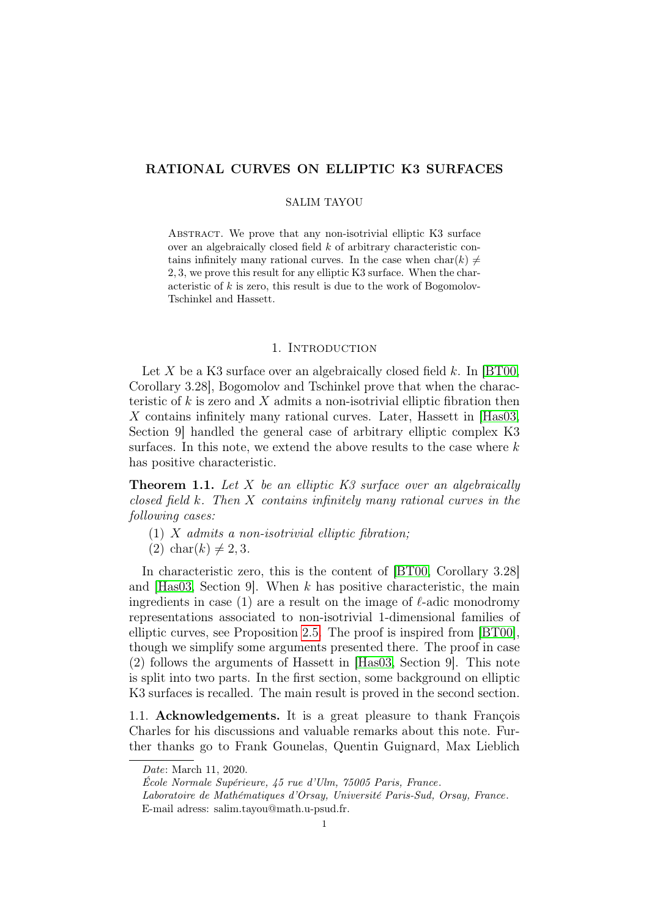# RATIONAL CURVES ON ELLIPTIC K3 SURFACES

### SALIM TAYOU

ABSTRACT. We prove that any non-isotrivial elliptic K3 surface over an algebraically closed field k of arbitrary characteristic contains infinitely many rational curves. In the case when  $char(k) \neq$ 2, 3, we prove this result for any elliptic K3 surface. When the characteristic of  $k$  is zero, this result is due to the work of Bogomolov-Tschinkel and Hassett.

### 1. INTRODUCTION

Let X be a K3 surface over an algebraically closed field  $k$ . In [\[BT00,](#page-7-0) Corollary 3.28], Bogomolov and Tschinkel prove that when the characteristic of k is zero and X admits a non-isotrivial elliptic fibration then X contains infinitely many rational curves. Later, Hassett in [\[Has03,](#page-7-1) Section 9] handled the general case of arbitrary elliptic complex K3 surfaces. In this note, we extend the above results to the case where  $k$ has positive characteristic.

<span id="page-0-0"></span>**Theorem 1.1.** Let X be an elliptic K3 surface over an algebraically closed field k. Then X contains infinitely many rational curves in the following cases:

- $(1)$  X admits a non-isotrivial elliptic fibration;
- $(2)$  char $(k) \neq 2, 3$ .

In characteristic zero, this is the content of [\[BT00,](#page-7-0) Corollary 3.28] and  $[Has03, Section 9]$  $[Has03, Section 9]$ . When k has positive characteristic, the main ingredients in case (1) are a result on the image of  $\ell$ -adic monodromy representations associated to non-isotrivial 1-dimensional families of elliptic curves, see Proposition [2.5.](#page-4-0) The proof is inspired from [\[BT00\]](#page-7-0), though we simplify some arguments presented there. The proof in case (2) follows the arguments of Hassett in [\[Has03,](#page-7-1) Section 9]. This note is split into two parts. In the first section, some background on elliptic K3 surfaces is recalled. The main result is proved in the second section.

1.1. **Acknowledgements.** It is a great pleasure to thank François Charles for his discussions and valuable remarks about this note. Further thanks go to Frank Gounelas, Quentin Guignard, Max Lieblich

Date: March 11, 2020.

École Normale Supérieure, 45 rue d'Ulm, 75005 Paris, France. Laboratoire de Mathématiques d'Orsay, Université Paris-Sud, Orsay, France. E-mail adress: salim.tayou@math.u-psud.fr.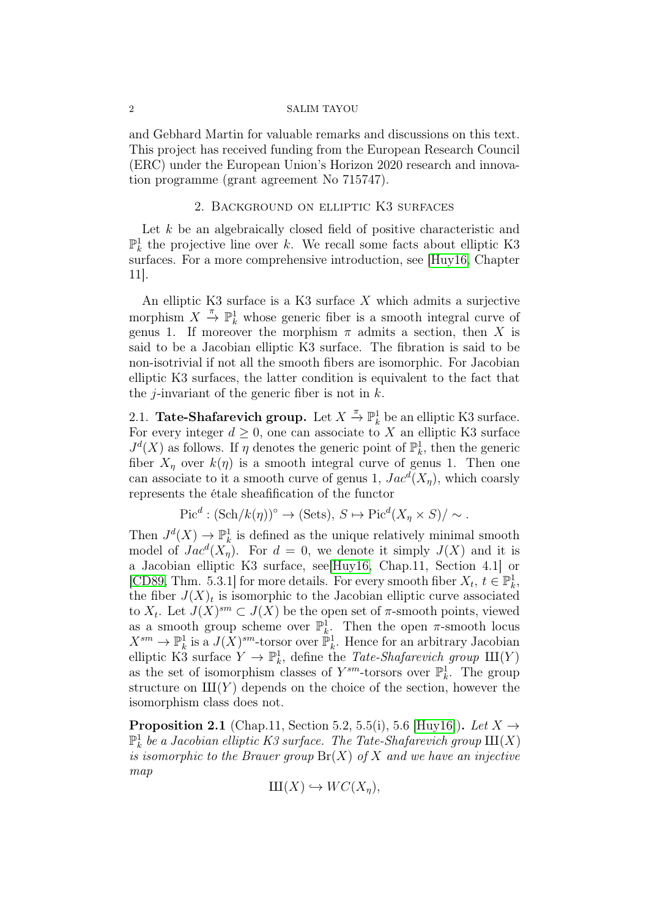#### 2 SALIM TAYOU

and Gebhard Martin for valuable remarks and discussions on this text. This project has received funding from the European Research Council (ERC) under the European Union's Horizon 2020 research and innovation programme (grant agreement No 715747).

### 2. Background on elliptic K3 surfaces

Let  $k$  be an algebraically closed field of positive characteristic and  $\mathbb{P}_k^1$  the projective line over k. We recall some facts about elliptic K3 surfaces. For a more comprehensive introduction, see [\[Huy16,](#page-7-2) Chapter 11].

An elliptic K3 surface is a K3 surface  $X$  which admits a surjective morphism  $X \stackrel{\pi}{\to} \mathbb{P}^1_k$  whose generic fiber is a smooth integral curve of genus 1. If moreover the morphism  $\pi$  admits a section, then X is said to be a Jacobian elliptic K3 surface. The fibration is said to be non-isotrivial if not all the smooth fibers are isomorphic. For Jacobian elliptic K3 surfaces, the latter condition is equivalent to the fact that the *j*-invariant of the generic fiber is not in  $k$ .

2.1. **Tate-Shafarevich group.** Let  $X \stackrel{\pi}{\rightarrow} \mathbb{P}^1_k$  be an elliptic K3 surface. For every integer  $d \geq 0$ , one can associate to X an elliptic K3 surface  $J^d(X)$  as follows. If  $\eta$  denotes the generic point of  $\mathbb{P}^1_k$ , then the generic fiber  $X_n$  over  $k(\eta)$  is a smooth integral curve of genus 1. Then one can associate to it a smooth curve of genus 1,  $Jac<sup>d</sup>(X<sub>\eta</sub>)$ , which coarsly represents the étale sheafification of the functor

$$
Picd : (Sch/k(\eta))o \to (Sets), S \mapsto Picd(X\eta \times S)/\sim.
$$

Then  $J^d(X) \to \mathbb{P}^1_k$  is defined as the unique relatively minimal smooth model of  $Jac^d(X_{\eta})$ . For  $d = 0$ , we denote it simply  $J(X)$  and it is a Jacobian elliptic K3 surface, see[\[Huy16,](#page-7-2) Chap.11, Section 4.1] or [\[CD89,](#page-7-3) Thm. 5.3.1] for more details. For every smooth fiber  $X_t, t \in \mathbb{P}^1_k$ , the fiber  $J(X)<sub>t</sub>$  is isomorphic to the Jacobian elliptic curve associated to  $X_t$ . Let  $J(X)^{sm} \subset J(X)$  be the open set of  $\pi$ -smooth points, viewed as a smooth group scheme over  $\mathbb{P}_k^1$ . Then the open  $\pi$ -smooth locus  $X^{sm} \to \mathbb{P}^1_k$  is a  $J(X)^{sm}$ -torsor over  $\mathbb{P}^1_k$ . Hence for an arbitrary Jacobian elliptic K3 surface  $Y \to \mathbb{P}^1_k$ , define the *Tate-Shafarevich group*  $III(Y)$ as the set of isomorphism classes of  $Y^{sm}$ -torsors over  $\mathbb{P}^1_k$ . The group structure on  $III(Y)$  depends on the choice of the section, however the isomorphism class does not.

<span id="page-1-0"></span>**Proposition 2.1** (Chap.11, Section 5.2, 5.5(i), 5.6 [\[Huy16\]](#page-7-2)). Let  $X \rightarrow$  $\mathbb{P}^1_k$  be a Jacobian elliptic K3 surface. The Tate-Shafarevich group  $\mathrm{III}(X)$ is isomorphic to the Brauer group  $\text{Br}(X)$  of X and we have an injective map

$$
\mathop{\mathrm{III}}(X)\hookrightarrow WC(X_{\eta}),
$$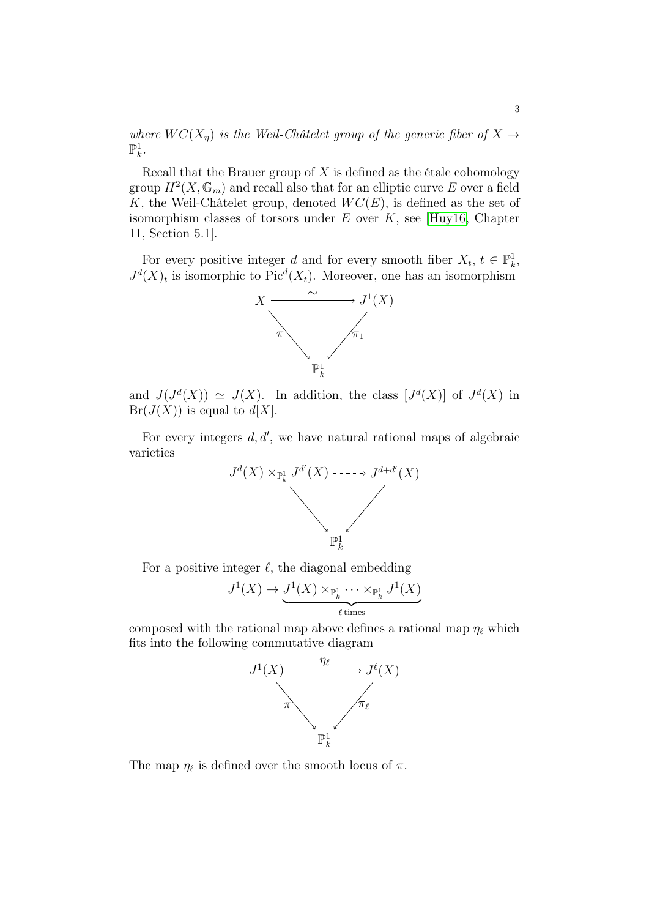where  $WC(X_n)$  is the Weil-Châtelet group of the generic fiber of  $X \rightarrow$  $\mathbb{P}^1_k$ .

Recall that the Brauer group of  $X$  is defined as the étale cohomology group  $H^2(X, \mathbb{G}_m)$  and recall also that for an elliptic curve E over a field K, the Weil-Châtelet group, denoted  $WC(E)$ , is defined as the set of isomorphism classes of torsors under  $E$  over  $K$ , see [\[Huy16,](#page-7-2) Chapter 11, Section 5.1].

For every positive integer d and for every smooth fiber  $X_t, t \in \mathbb{P}_k^1$ ,  $J^d(X)_t$  is isomorphic to Pic<sup> $d(X_t)$ </sup>. Moreover, one has an isomorphism



and  $J(J^d(X)) \simeq J(X)$ . In addition, the class  $[J^d(X)]$  of  $J^d(X)$  in  $Br(J(X))$  is equal to  $d[X]$ .

For every integers  $d, d'$ , we have natural rational maps of algebraic varieties



For a positive integer  $\ell$ , the diagonal embedding

$$
J^1(X) \to \underbrace{J^1(X) \times_{\mathbb{P}_k^1} \cdots \times_{\mathbb{P}_k^1} J^1(X)}_{\ell \text{ times}}
$$

composed with the rational map above defines a rational map  $\eta_{\ell}$  which fits into the following commutative diagram



The map  $\eta_{\ell}$  is defined over the smooth locus of  $\pi$ .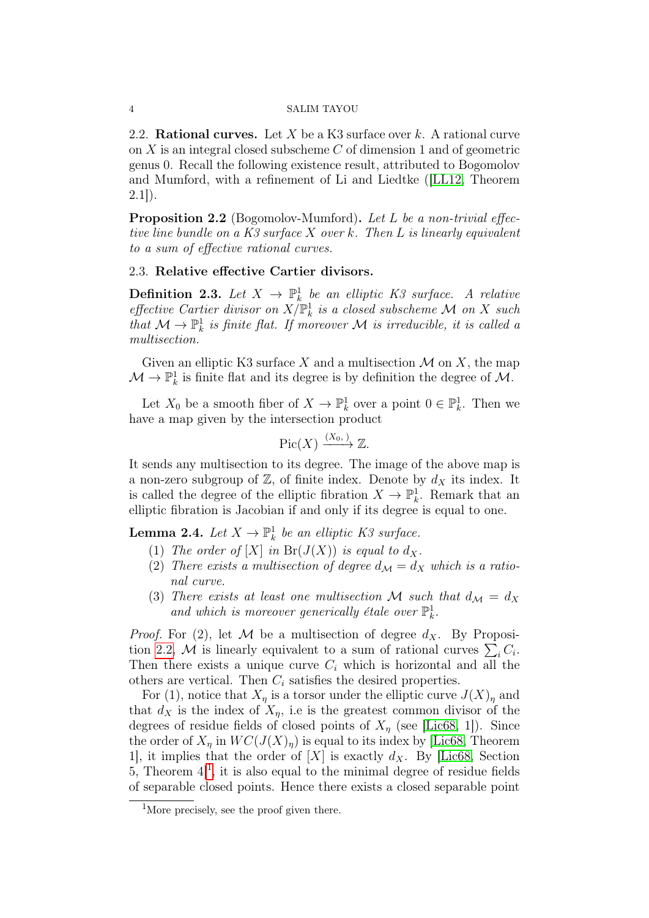#### 4 SALIM TAYOU

2.2. **Rational curves.** Let X be a K3 surface over k. A rational curve on X is an integral closed subscheme C of dimension 1 and of geometric genus 0. Recall the following existence result, attributed to Bogomolov and Mumford, with a refinement of Li and Liedtke ([\[LL12,](#page-7-4) Theorem  $2.1$ ]).

<span id="page-3-0"></span>**Proposition 2.2** (Bogomolov-Mumford). Let L be a non-trivial effective line bundle on a  $K3$  surface  $X$  over  $k$ . Then  $L$  is linearly equivalent to a sum of effective rational curves.

### 2.3. Relative effective Cartier divisors.

**Definition 2.3.** Let  $X \to \mathbb{P}^1_k$  be an elliptic K3 surface. A relative effective Cartier divisor on  $X/\mathbb{P}^1_k$  is a closed subscheme M on X such that  $\mathcal{M} \to \mathbb{P}^1_k$  is finite flat. If moreover M is irreducible, it is called a multisection.

Given an elliptic K3 surface X and a multisection  $\mathcal M$  on X, the map  $\mathcal{M} \to \mathbb{P}^1_k$  is finite flat and its degree is by definition the degree of  $\mathcal{M}$ .

Let  $X_0$  be a smooth fiber of  $X \to \mathbb{P}^1_k$  over a point  $0 \in \mathbb{P}^1_k$ . Then we have a map given by the intersection product

$$
\mathrm{Pic}(X) \xrightarrow{(X_0, )} \mathbb{Z}.
$$

It sends any multisection to its degree. The image of the above map is a non-zero subgroup of  $\mathbb{Z}$ , of finite index. Denote by  $d_X$  its index. It is called the degree of the elliptic fibration  $X \to \mathbb{P}_k^1$ . Remark that an elliptic fibration is Jacobian if and only if its degree is equal to one.

<span id="page-3-2"></span>**Lemma 2.4.** Let  $X \to \mathbb{P}^1_k$  be an elliptic K3 surface.

- (1) The order of  $[X]$  in  $Br(J(X))$  is equal to  $d_X$ .
- (2) There exists a multisection of degree  $d_{\mathcal{M}} = d_X$  which is a rational curve.
- (3) There exists at least one multisection M such that  $d_{\mathcal{M}} = d_X$ and which is moreover generically étale over  $\mathbb{P}^1_k$ .

*Proof.* For (2), let M be a multisection of degree  $d_X$ . By Proposi-tion [2.2,](#page-3-0) M is linearly equivalent to a sum of rational curves  $\sum_i C_i$ . Then there exists a unique curve  $C_i$  which is horizontal and all the others are vertical. Then  $C_i$  satisfies the desired properties.

For (1), notice that  $X_{\eta}$  is a torsor under the elliptic curve  $J(X)_{\eta}$  and that  $d_X$  is the index of  $X_n$ , i.e is the greatest common divisor of the degrees of residue fields of closed points of  $X_n$  (see [\[Lic68,](#page-7-5) 1]). Since the order of  $X_n$  in  $WC(J(X)_n)$  is equal to its index by [\[Lic68,](#page-7-5) Theorem 1, it implies that the order of  $[X]$  is exactly  $d_X$ . By [\[Lic68,](#page-7-5) Section 5, Theorem  $4]$ <sup>[1](#page-3-1)</sup>, it is also equal to the minimal degree of residue fields of separable closed points. Hence there exists a closed separable point

<span id="page-3-1"></span><sup>&</sup>lt;sup>1</sup>More precisely, see the proof given there.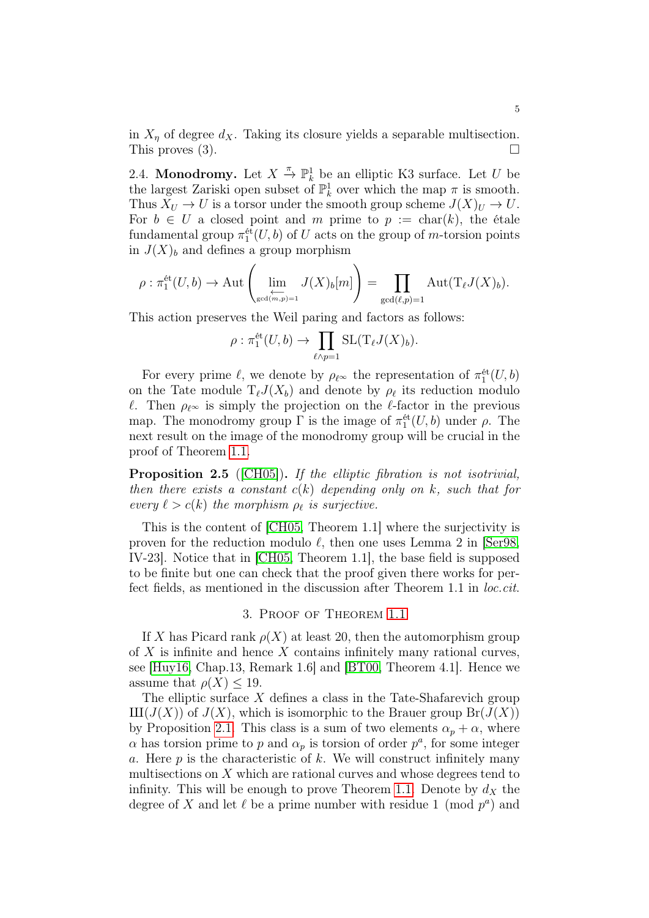in  $X_{\eta}$  of degree  $d_X$ . Taking its closure yields a separable multisection. This proves  $(3)$ .

2.4. **Monodromy.** Let  $X \stackrel{\pi}{\to} \mathbb{P}^1_k$  be an elliptic K3 surface. Let U be the largest Zariski open subset of  $\mathbb{P}^1_k$  over which the map  $\pi$  is smooth. Thus  $X_U \to U$  is a torsor under the smooth group scheme  $J(X)_U \to U$ . For  $b \in U$  a closed point and m prime to  $p := \text{char}(k)$ , the étale fundamental group  $\pi_1^{\text{\'et}}(U, b)$  of U acts on the group of m-torsion points in  $J(X)<sub>b</sub>$  and defines a group morphism

$$
\rho: \pi_1^{\text{\'et}}(U,b) \to \text{Aut}\left(\lim_{\substack{\longleftarrow \\ \gcd(m,p)=1}} J(X)_b[m]\right) = \prod_{\gcd(\ell,p)=1} \text{Aut}(T_{\ell}J(X)_b).
$$

This action preserves the Weil paring and factors as follows:

$$
\rho: \pi_1^{\text{\'et}}(U,b) \to \prod_{\ell \wedge p=1} \text{SL}(\mathrm{T}_{\ell}J(X)_{b}).
$$

For every prime  $\ell$ , we denote by  $\rho_{\ell^{\infty}}$  the representation of  $\pi_1^{\text{\'et}}(U, b)$ on the Tate module  $T_{\ell}J(X_{b})$  and denote by  $\rho_{\ell}$  its reduction modulo  $\ell$ . Then  $\rho_{\ell} \infty$  is simply the projection on the  $\ell$ -factor in the previous map. The monodromy group  $\Gamma$  is the image of  $\pi_1^{\text{\'et}}(U,b)$  under  $\rho$ . The next result on the image of the monodromy group will be crucial in the proof of Theorem [1.1.](#page-0-0)

<span id="page-4-0"></span>Proposition 2.5 ([\[CH05\]](#page-7-6)). If the elliptic fibration is not isotrivial, then there exists a constant  $c(k)$  depending only on k, such that for every  $\ell > c(k)$  the morphism  $\rho_{\ell}$  is surjective.

This is the content of [\[CH05,](#page-7-6) Theorem 1.1] where the surjectivity is proven for the reduction modulo  $\ell$ , then one uses Lemma 2 in [\[Ser98,](#page-7-7) IV-23]. Notice that in [\[CH05,](#page-7-6) Theorem 1.1], the base field is supposed to be finite but one can check that the proof given there works for perfect fields, as mentioned in the discussion after Theorem 1.1 in *loc.cit.* 

## 3. Proof of Theorem [1.1](#page-0-0)

If X has Picard rank  $\rho(X)$  at least 20, then the automorphism group of  $X$  is infinite and hence  $X$  contains infinitely many rational curves, see [\[Huy16,](#page-7-2) Chap.13, Remark 1.6] and [\[BT00,](#page-7-0) Theorem 4.1]. Hence we assume that  $\rho(X) \leq 19$ .

The elliptic surface  $X$  defines a class in the Tate-Shafarevich group  $III(J(X))$  of  $J(X)$ , which is isomorphic to the Brauer group  $Br(J(X))$ by Proposition [2.1.](#page-1-0) This class is a sum of two elements  $\alpha_p + \alpha$ , where  $\alpha$  has torsion prime to p and  $\alpha_p$  is torsion of order  $p^a$ , for some integer a. Here  $p$  is the characteristic of  $k$ . We will construct infinitely many multisections on  $X$  which are rational curves and whose degrees tend to infinity. This will be enough to prove Theorem [1.1.](#page-0-0) Denote by  $d_X$  the degree of X and let  $\ell$  be a prime number with residue 1 (mod  $p^a$ ) and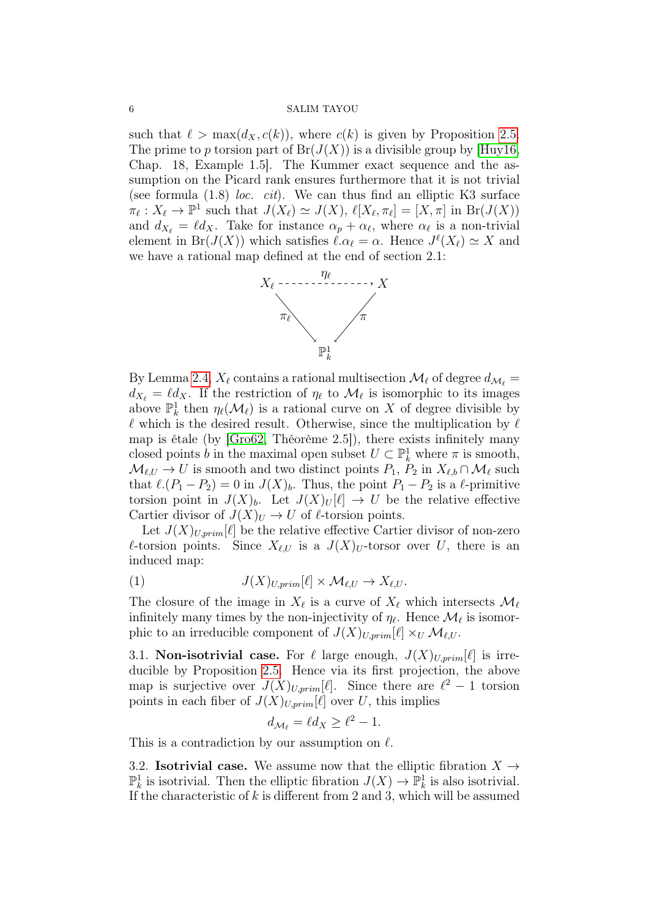#### 6 SALIM TAYOU

such that  $\ell > \max(d_X, c(k))$ , where  $c(k)$  is given by Proposition [2.5.](#page-4-0) The prime to p torsion part of  $Br(J(X))$  is a divisible group by [\[Huy16,](#page-7-2) Chap. 18, Example 1.5]. The Kummer exact sequence and the assumption on the Picard rank ensures furthermore that it is not trivial (see formula  $(1.8)$  *loc. cit*). We can thus find an elliptic K3 surface  $\pi_{\ell}: X_{\ell} \to \mathbb{P}^1$  such that  $J(X_{\ell}) \simeq J(X), \, \ell[X_{\ell}, \pi_{\ell}] = [X, \pi]$  in  $\text{Br}(J(X))$ and  $d_{X_\ell} = \ell d_X$ . Take for instance  $\alpha_p + \alpha_\ell$ , where  $\alpha_\ell$  is a non-trivial element in Br( $J(X)$ ) which satisfies  $\ell \cdot \alpha_{\ell} = \alpha$ . Hence  $J^{\ell}(X_{\ell}) \simeq X$  and we have a rational map defined at the end of section 2.1:



By Lemma [2.4,](#page-3-2)  $X_\ell$  contains a rational multisection  $\mathcal{M}_\ell$  of degree  $d_{\mathcal{M}_\ell}$  =  $d_{X_{\ell}} = \ell d_X$ . If the restriction of  $\eta_{\ell}$  to  $\mathcal{M}_{\ell}$  is isomorphic to its images above  $\mathbb{P}^1_k$  then  $\eta_\ell(\mathcal{M}_\ell)$  is a rational curve on X of degree divisible by  $\ell$  which is the desired result. Otherwise, since the multiplication by  $\ell$ map is étale (by [\[Gro62,](#page-7-8) Théorème 2.5]), there exists infinitely many closed points b in the maximal open subset  $U \subset \mathbb{P}^1_k$  where  $\pi$  is smooth,  $\mathcal{M}_{\ell,U} \to U$  is smooth and two distinct points  $P_1, P_2$  in  $X_{\ell,b} \cap \mathcal{M}_\ell$  such that  $\ell.(P_1 - P_2) = 0$  in  $J(X)_b$ . Thus, the point  $P_1 - P_2$  is a  $\ell$ -primitive torsion point in  $J(X)_b$ . Let  $J(X)_U[\ell] \to U$  be the relative effective Cartier divisor of  $J(X)_U \to U$  of  $\ell$ -torsion points.

Let  $J(X)_{U,prim}[\ell]$  be the relative effective Cartier divisor of non-zero  $\ell$ -torsion points. Since  $X_{\ell,U}$  is a  $J(X)_U$ -torsor over U, there is an induced map:

<span id="page-5-0"></span>(1) 
$$
J(X)_{U,prim}[\ell] \times \mathcal{M}_{\ell,U} \to X_{\ell,U}.
$$

The closure of the image in  $X_\ell$  is a curve of  $X_\ell$  which intersects  $\mathcal{M}_\ell$ infinitely many times by the non-injectivity of  $\eta_{\ell}$ . Hence  $\mathcal{M}_{\ell}$  is isomorphic to an irreducible component of  $J(X)_{U,prim}[\ell] \times_U \mathcal{M}_{\ell,U}$ .

3.1. **Non-isotrivial case.** For  $\ell$  large enough,  $J(X)_{U,prim}[\ell]$  is irreducible by Proposition [2.5.](#page-4-0) Hence via its first projection, the above map is surjective over  $J(X)_{U,prim}[\ell]$ . Since there are  $\ell^2 - 1$  torsion points in each fiber of  $J(X)_{U,prim}[\ell]$  over U, this implies

$$
d_{\mathcal{M}_{\ell}} = \ell d_X \ge \ell^2 - 1.
$$

This is a contradiction by our assumption on  $\ell$ .

3.2. **Isotrivial case.** We assume now that the elliptic fibration  $X \rightarrow$  $\mathbb{P}_k^1$  is isotrivial. Then the elliptic fibration  $J(X) \to \mathbb{P}_k^1$  is also isotrivial. If the characteristic of  $k$  is different from 2 and 3, which will be assumed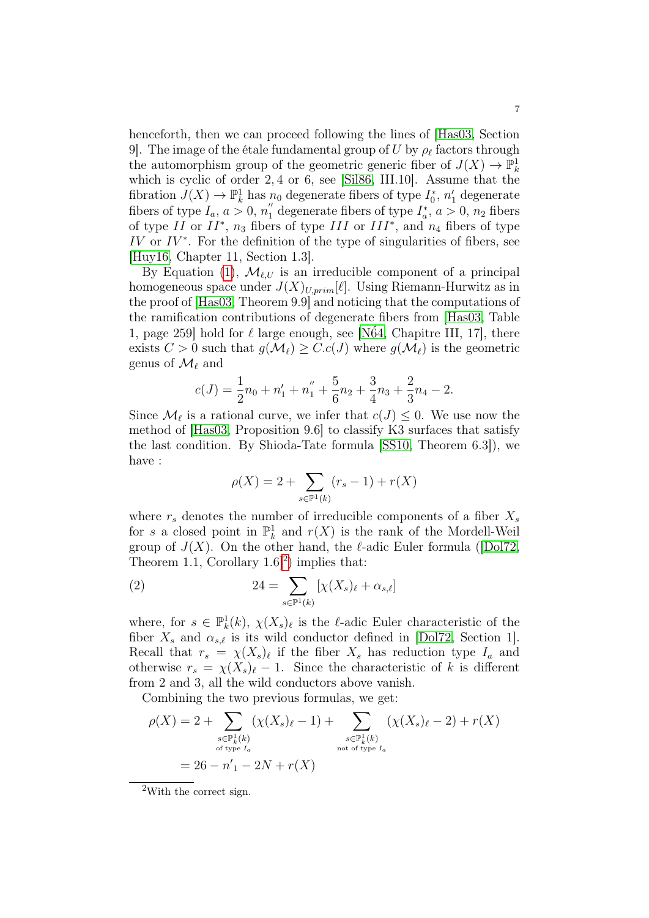henceforth, then we can proceed following the lines of [\[Has03,](#page-7-1) Section 9]. The image of the étale fundamental group of  $U$  by  $\rho_{\ell}$  factors through the automorphism group of the geometric generic fiber of  $J(X) \to \mathbb{P}_k^1$ which is cyclic of order 2, 4 or 6, see [\[Sil86,](#page-8-0) III.10]. Assume that the fibration  $J(X) \to \mathbb{P}^1_k$  has  $n_0$  degenerate fibers of type  $I_0^*$ ,  $n'_1$  degenerate fibers of type  $I_a$ ,  $a > 0$ ,  $n_1''$  degenerate fibers of type  $I_a^*$ ,  $a > 0$ ,  $n_2$  fibers of type II or  $II^*$ ,  $n_3$  fibers of type III or  $III^*$ , and  $n_4$  fibers of type  $IV$  or  $IV^*$ . For the definition of the type of singularities of fibers, see [\[Huy16,](#page-7-2) Chapter 11, Section 1.3].

By Equation [\(1\)](#page-5-0),  $\mathcal{M}_{\ell,U}$  is an irreducible component of a principal homogeneous space under  $J(X)_{U,prim}[\ell]$ . Using Riemann-Hurwitz as in the proof of [\[Has03,](#page-7-1) Theorem 9.9] and noticing that the computations of the ramification contributions of degenerate fibers from [\[Has03,](#page-7-1) Table 1, page 259] hold for  $\ell$  large enough, see [N $64$ , Chapitre III, 17], there exists  $C > 0$  such that  $g(\mathcal{M}_\ell) \geq C.c(J)$  where  $g(\mathcal{M}_\ell)$  is the geometric genus of  $\mathcal{M}_{\ell}$  and

$$
c(J) = \frac{1}{2}n_0 + n_1' + n_1'' + \frac{5}{6}n_2 + \frac{3}{4}n_3 + \frac{2}{3}n_4 - 2.
$$

Since  $\mathcal{M}_{\ell}$  is a rational curve, we infer that  $c(J) \leq 0$ . We use now the method of [\[Has03,](#page-7-1) Proposition 9.6] to classify K3 surfaces that satisfy the last condition. By Shioda-Tate formula [\[SS10,](#page-8-1) Theorem 6.3]), we have :

$$
\rho(X) = 2 + \sum_{s \in \mathbb{P}^1(k)} (r_s - 1) + r(X)
$$

where  $r_s$  denotes the number of irreducible components of a fiber  $X_s$ for s a closed point in  $\mathbb{P}^1_k$  and  $r(X)$  is the rank of the Mordell-Weil group of  $J(X)$ . On the other hand, the  $\ell$ -adic Euler formula ([\[Dol72,](#page-7-10) Theorem 1.1, Corollary  $1.6$ <sup>[[2](#page-6-0)</sup>] implies that:

<span id="page-6-1"></span>(2) 
$$
24 = \sum_{s \in \mathbb{P}^1(k)} \left[ \chi(X_s)_{\ell} + \alpha_{s,\ell} \right]
$$

where, for  $s \in \mathbb{P}_k^1(k)$ ,  $\chi(X_s)_{\ell}$  is the  $\ell$ -adic Euler characteristic of the fiber  $X_s$  and  $\alpha_{s,\ell}$  is its wild conductor defined in [\[Dol72,](#page-7-10) Section 1]. Recall that  $r_s = \chi(X_s)_{\ell}$  if the fiber  $X_s$  has reduction type  $I_a$  and otherwise  $r_s = \chi(X_s)\ell - 1$ . Since the characteristic of k is different from 2 and 3, all the wild conductors above vanish.

Combining the two previous formulas, we get:

$$
\rho(X) = 2 + \sum_{\substack{s \in \mathbb{P}_k^1(k) \\ \text{of type } I_a}} (\chi(X_s)_{\ell} - 1) + \sum_{\substack{s \in \mathbb{P}_k^1(k) \\ \text{not of type } I_a}} (\chi(X_s)_{\ell} - 2) + r(X)
$$

<span id="page-6-0"></span><sup>2</sup>With the correct sign.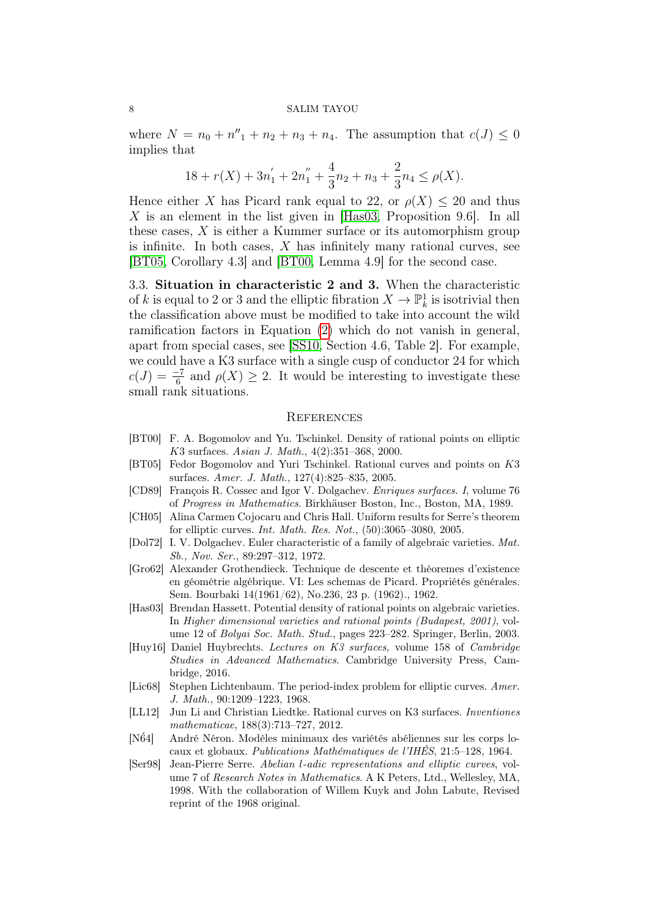where  $N = n_0 + n''_1 + n_2 + n_3 + n_4$ . The assumption that  $c(J) \leq 0$ implies that

$$
18 + r(X) + 3n1' + 2n1'' + \frac{4}{3}n2 + n3 + \frac{2}{3}n4 \le \rho(X).
$$

Hence either X has Picard rank equal to 22, or  $\rho(X) \leq 20$  and thus  $X$  is an element in the list given in [\[Has03,](#page-7-1) Proposition 9.6]. In all these cases, X is either a Kummer surface or its automorphism group is infinite. In both cases,  $X$  has infinitely many rational curves, see [\[BT05,](#page-7-11) Corollary 4.3] and [\[BT00,](#page-7-0) Lemma 4.9] for the second case.

3.3. Situation in characteristic 2 and 3. When the characteristic of k is equal to 2 or 3 and the elliptic fibration  $X \to \mathbb{P}^1_k$  is isotrivial then the classification above must be modified to take into account the wild ramification factors in Equation [\(2\)](#page-6-1) which do not vanish in general, apart from special cases, see [\[SS10,](#page-8-1) Section 4.6, Table 2]. For example, we could have a K3 surface with a single cusp of conductor 24 for which  $c(J) = \frac{-7}{6}$  and  $\rho(X) \geq 2$ . It would be interesting to investigate these small rank situations.

#### **REFERENCES**

- <span id="page-7-0"></span>[BT00] F. A. Bogomolov and Yu. Tschinkel. Density of rational points on elliptic K3 surfaces. Asian J. Math., 4(2):351–368, 2000.
- <span id="page-7-11"></span>[BT05] Fedor Bogomolov and Yuri Tschinkel. Rational curves and points on K3 surfaces. Amer. J. Math., 127(4):825–835, 2005.
- <span id="page-7-3"></span>[CD89] François R. Cossec and Igor V. Dolgachev. Enriques surfaces. I, volume 76 of Progress in Mathematics. Birkhäuser Boston, Inc., Boston, MA, 1989.
- <span id="page-7-6"></span>[CH05] Alina Carmen Cojocaru and Chris Hall. Uniform results for Serre's theorem for elliptic curves. Int. Math. Res. Not., (50):3065–3080, 2005.
- <span id="page-7-10"></span>[Dol72] I. V. Dolgachev. Euler characteristic of a family of algebraic varieties. Mat. Sb., Nov. Ser., 89:297–312, 1972.
- <span id="page-7-8"></span>[Gro62] Alexander Grothendieck. Technique de descente et théoremes d'existence en géométrie algébrique. VI: Les schemas de Picard. Propriétés générales. Sem. Bourbaki 14(1961/62), No.236, 23 p. (1962)., 1962.
- <span id="page-7-1"></span>[Has03] Brendan Hassett. Potential density of rational points on algebraic varieties. In Higher dimensional varieties and rational points (Budapest, 2001), volume 12 of Bolyai Soc. Math. Stud., pages 223–282. Springer, Berlin, 2003.
- <span id="page-7-2"></span>[Huy16] Daniel Huybrechts. Lectures on K3 surfaces, volume 158 of Cambridge Studies in Advanced Mathematics. Cambridge University Press, Cambridge, 2016.
- <span id="page-7-5"></span>[Lic68] Stephen Lichtenbaum. The period-index problem for elliptic curves. Amer. J. Math., 90:1209–1223, 1968.
- <span id="page-7-4"></span>[LL12] Jun Li and Christian Liedtke. Rational curves on K3 surfaces. Inventiones mathematicae, 188(3):713–727, 2012.
- <span id="page-7-9"></span>[N´64] André Néron. Modèles minimaux des variétés abéliennes sur les corps locaux et globaux. Publications Mathématiques de l'IHÉS, 21:5–128, 1964.
- <span id="page-7-7"></span>[Ser98] Jean-Pierre Serre. Abelian l-adic representations and elliptic curves, volume 7 of Research Notes in Mathematics. A K Peters, Ltd., Wellesley, MA, 1998. With the collaboration of Willem Kuyk and John Labute, Revised reprint of the 1968 original.